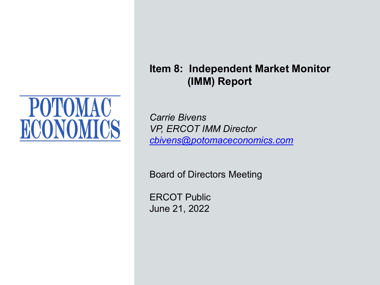

**Item 8: Independent Market Monitor (IMM) Report** 

*Carrie Bivens VP, ERCOT IMM Director [cbivens@potomaceconomics.com](mailto:sreedy@potomaceconomics.com)*

Board of Directors Meeting

ERCOT Public June 21, 2022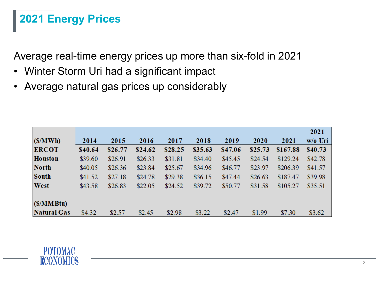# **2021 Energy Prices**

Average real-time energy prices up more than six-fold in 2021

- Winter Storm Uri had a significant impact
- Average natural gas prices up considerably

|                    |         |         |         |         |         |         |         |          | 2021    |
|--------------------|---------|---------|---------|---------|---------|---------|---------|----------|---------|
| (S/MWh)            | 2014    | 2015    | 2016    | 2017    | 2018    | 2019    | 2020    | 2021     | w/o Uri |
| <b>ERCOT</b>       | \$40.64 | \$26.77 | \$24.62 | \$28.25 | \$35.63 | \$47.06 | \$25.73 | \$167.88 | \$40.73 |
| <b>Houston</b>     | \$39.60 | \$26.91 | \$26.33 | \$31.81 | \$34.40 | \$45.45 | \$24.54 | \$129.24 | \$42.78 |
| <b>North</b>       | \$40.05 | \$26.36 | \$23.84 | \$25.67 | \$34.96 | \$46.77 | \$23.97 | \$206.39 | \$41.57 |
| <b>South</b>       | \$41.52 | \$27.18 | \$24.78 | \$29.38 | \$36.15 | \$47.44 | \$26.63 | \$187.47 | \$39.98 |
| West               | \$43.58 | \$26.83 | \$22.05 | \$24.52 | \$39.72 | \$50.77 | \$31.58 | \$105.27 | \$35.51 |
| (S/MMBtu)          |         |         |         |         |         |         |         |          |         |
| <b>Natural Gas</b> | \$4.32  | \$2.57  | \$2.45  | \$2.98  | \$3.22  | \$2.47  | \$1.99  | \$7.30   | \$3.62  |

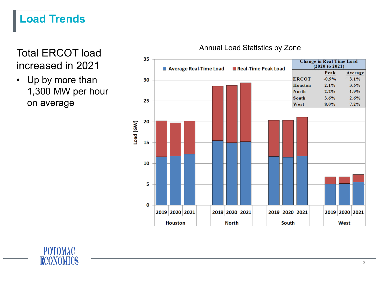# **Load Trends**

Total ERCOT load increased in 2021

• Up by more than 1,300 MW per hour on average



#### Annual Load Statistics by Zone

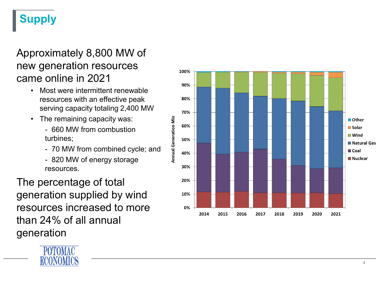# **Supply**

#### Approximately 8,800 MW of new generation resources came online in 2021

- Most were intermittent renewable resources with an effective peak serving capacity totaling 2,400 MW
- The remaining capacity was:
	- 660 MW from combustion turbines;
	- 70 MW from combined cycle; and
	- 820 MW of energy storage resources.

The percentage of total generation supplied by wind resources increased to more than 24% of all annual generation



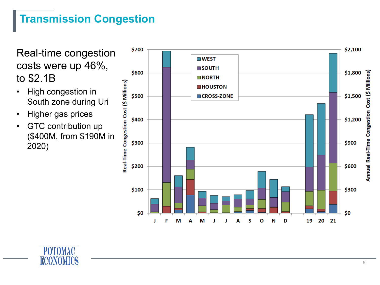### **Transmission Congestion**

Real-time congestion costs were up 46%, to \$2.1B

- High congestion in South zone during Uri
- Higher gas prices
- GTC contribution up (\$400M, from \$190M in 2020)



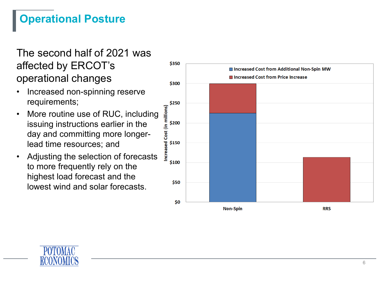## **Operational Posture**

#### The second half of 2021 was affected by ERCOT's operational changes

- Increased non-spinning reserve requirements;
- More routine use of RUC, including issuing instructions earlier in the day and committing more longer lead time resources; and
- Adjusting the selection of forecasts to more frequently rely on the highest load forecast and the lowest wind and solar forecasts.



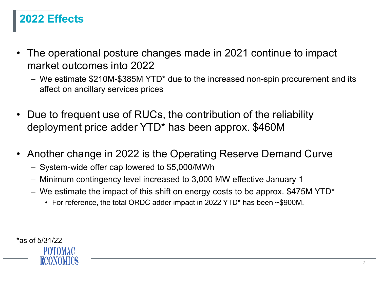# **2022 Effects**

- The operational posture changes made in 2021 continue to impact market outcomes into 2022
	- We estimate \$210M-\$385M YTD\* due to the increased non-spin procurement and its affect on ancillary services prices
- Due to frequent use of RUCs, the contribution of the reliability deployment price adder YTD\* has been approx. \$460M
- Another change in 2022 is the Operating Reserve Demand Curve
	- System-wide offer cap lowered to \$5,000/MWh
	- Minimum contingency level increased to 3,000 MW effective January 1
	- We estimate the impact of this shift on energy costs to be approx. \$475M YTD\*
		- For reference, the total ORDC adder impact in 2022 YTD\* has been ~\$900M.

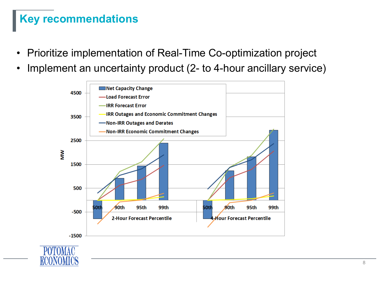# **Key recommendations**

- Prioritize implementation of Real-Time Co-optimization project
- Implement an uncertainty product (2- to 4-hour ancillary service)